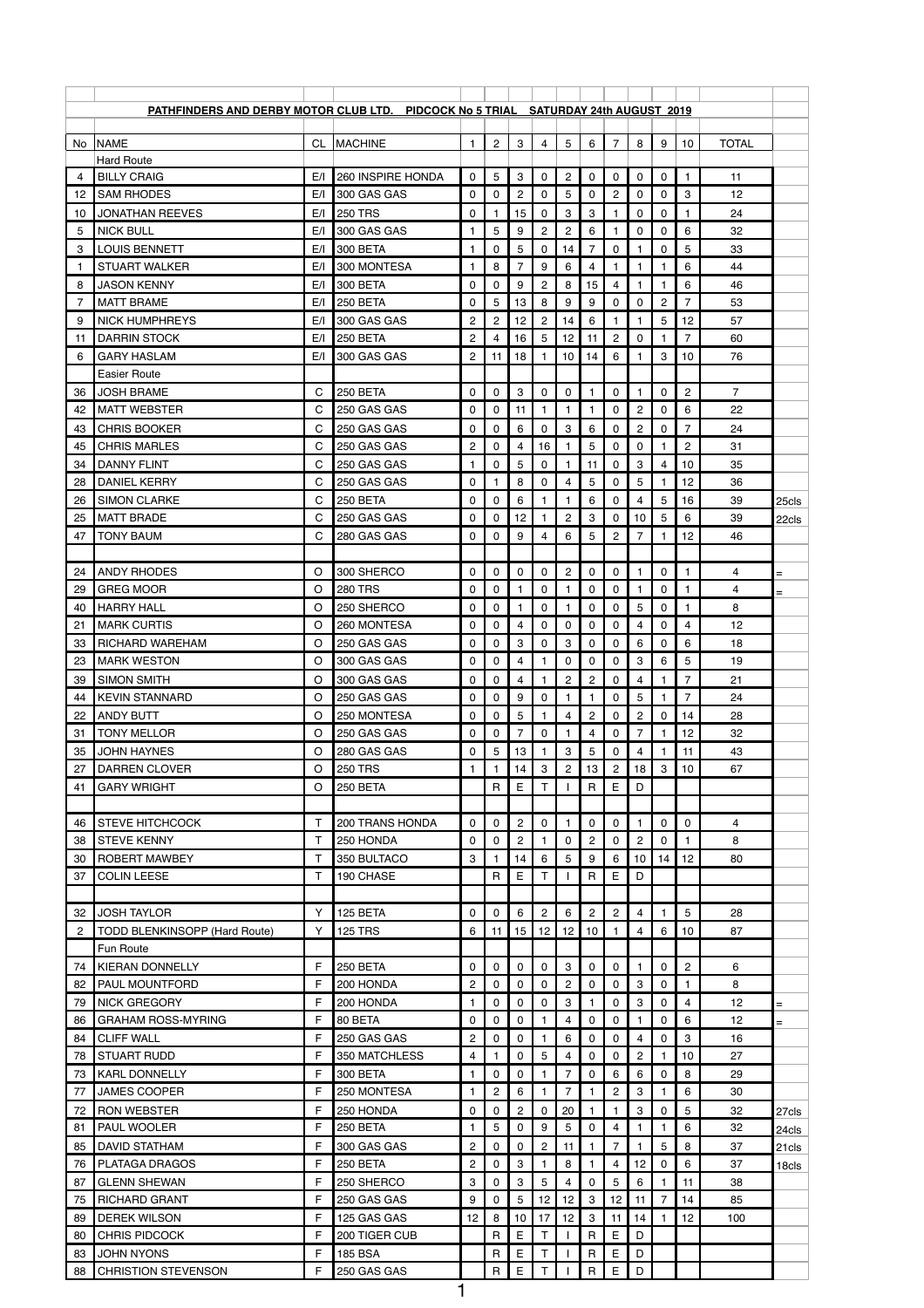|                | <b>PATHFINDERS AND DERBY MOTOR CLUB LTD. PIDCOCK No 5 TRIAL SATURDAY 24th AUGUST 2019</b> |           |                            |                      |                |                      |                     |                         |                     |                     |                                 |                      |                         |                |       |
|----------------|-------------------------------------------------------------------------------------------|-----------|----------------------------|----------------------|----------------|----------------------|---------------------|-------------------------|---------------------|---------------------|---------------------------------|----------------------|-------------------------|----------------|-------|
|                |                                                                                           |           |                            |                      |                |                      |                     |                         |                     |                     |                                 |                      |                         |                |       |
| No.            | <b>NAME</b>                                                                               | <b>CL</b> | <b>MACHINE</b>             | 1                    | $\overline{c}$ | 3                    | 4                   | 5                       | 6                   | $\overline{7}$      | 8                               | 9                    | 10                      | <b>TOTAL</b>   |       |
| 4              | <b>Hard Route</b><br><b>BILLY CRAIG</b>                                                   | E/I       | 260 INSPIRE HONDA          | 0                    | 5              | 3                    | 0                   | $\overline{c}$          | 0                   | 0                   | 0                               | 0                    | $\mathbf{1}$            | 11             |       |
| 12             | <b>SAM RHODES</b>                                                                         | E/I       | 300 GAS GAS                | 0                    | 0              | $\overline{2}$       | 0                   | 5                       | 0                   | $\overline{2}$      | 0                               | 0                    | 3                       | 12             |       |
| 10             | <b>JONATHAN REEVES</b>                                                                    | E/I       | <b>250 TRS</b>             | 0                    | 1              | 15                   | 0                   | 3                       | 3                   | 1                   | 0                               | 0                    | $\mathbf{1}$            | 24             |       |
| 5              | <b>NICK BULL</b>                                                                          | E/I       | 300 GAS GAS                |                      | 5              | 9                    | $\overline{c}$      | $\overline{c}$          | 6                   | 1                   | 0                               | 0                    | 6                       | 32             |       |
| 3              | <b>LOUIS BENNETT</b>                                                                      | E/I       | 300 BETA                   |                      | 0              | 5                    | 0                   | 14                      | 7                   | 0                   |                                 | 0                    | 5                       | 33             |       |
| -1             | <b>STUART WALKER</b>                                                                      | E/I       | 300 MONTESA                |                      | 8              |                      | 9                   | $\,6$                   | 4                   | 1                   |                                 | 1                    | 6                       | 44             |       |
| 8              | <b>JASON KENNY</b>                                                                        | E/I       | <b>300 BETA</b>            | 0                    | 0              | 9                    | $\overline{c}$      | 8                       | 15                  | 4                   |                                 | $\mathbf{1}$         | 6                       | 46             |       |
| 7              | <b>MATT BRAME</b>                                                                         | E/I       | 250 BETA                   | 0                    | 5              | 13                   | 8                   | 9                       | 9                   | 0                   | 0                               | $\overline{c}$       | $\overline{7}$          | 53             |       |
| 9              | <b>NICK HUMPHREYS</b>                                                                     | E/I       | 300 GAS GAS                | $\overline{c}$       | $\overline{c}$ | 12                   | $\mathbf{2}$        | 14                      | 6                   | 1                   |                                 | 5                    | 12                      | 57             |       |
| 11             | <b>DARRIN STOCK</b>                                                                       | E/I       | 250 BETA                   | $\overline{2}$       | 4              | 16                   | 5                   | 12                      | 11                  | $\overline{c}$      | 0                               | 1                    | $\overline{7}$          | 60             |       |
| 6              | <b>GARY HASLAM</b>                                                                        | E/I       | 300 GAS GAS                | $\overline{2}$       | 11             | 18                   |                     | 10                      | 14                  | 6                   |                                 | 3                    | 10                      | 76             |       |
|                | <b>Easier Route</b>                                                                       |           |                            |                      |                |                      |                     |                         |                     |                     |                                 |                      |                         |                |       |
| 36             | <b>JOSH BRAME</b>                                                                         | С         | 250 BETA                   | 0                    | 0              | 3                    | 0                   | 0                       |                     | 0                   |                                 | 0                    | $\overline{c}$          | $\overline{7}$ |       |
| 42             | <b>MATT WEBSTER</b>                                                                       | C         | 250 GAS GAS                | 0                    | 0              | 11                   | 1                   | $\mathbf 1$             |                     | $\Omega$            | $\overline{c}$                  | 0                    | 6                       | 22             |       |
| 43             | <b>CHRIS BOOKER</b>                                                                       | C         | 250 GAS GAS                | 0                    | $\mathbf{0}$   | 6                    | 0                   | 3                       | 6                   | 0                   | $\mathbf{2}$                    | 0                    | $\overline{7}$          | 24             |       |
| 45             | <b>CHRIS MARLES</b>                                                                       | C         | 250 GAS GAS                | $\overline{c}$       | 0              | 4                    | 16                  |                         | 5                   | 0                   | 0                               | 1                    | $\overline{c}$          | 31             |       |
| 34             | <b>DANNY FLINT</b>                                                                        | С         | 250 GAS GAS                | 1                    | $\mathbf{0}$   | 5                    | 0                   | 1                       | 11                  | 0                   | 3                               | 4                    | 10                      | 35             |       |
| 28             | <b>DANIEL KERRY</b>                                                                       | C         | 250 GAS GAS                | 0                    | 1              | 8                    | 0                   | $\overline{4}$          | 5                   | 0                   | 5                               |                      | 12                      | 36             |       |
| 26             | <b>SIMON CLARKE</b>                                                                       | C         | 250 BETA                   | 0                    | $\Omega$       | 6                    |                     | $\mathbf 1$             | 6                   | 0                   | 4                               | 5                    | 16                      | 39<br>39       | 25cls |
| 25<br>47       | <b>MATT BRADE</b><br><b>TONY BAUM</b>                                                     | C<br>С    | 250 GAS GAS<br>280 GAS GAS | 0<br>0               | 0<br>0         | 12<br>9              | 4                   | $\overline{c}$<br>6     | 3<br>5              | 0<br>$\overline{c}$ | 10<br>7                         | 5<br>1.              | 6<br>12                 | 46             | 22cls |
|                |                                                                                           |           |                            |                      |                |                      |                     |                         |                     |                     |                                 |                      |                         |                |       |
| 24             | <b>ANDY RHODES</b>                                                                        | $\circ$   | 300 SHERCO                 | $\mathbf{0}$         | 0 <sup>1</sup> | $\mathbf 0$          | $\mathsf{O}\xspace$ | $2 \mid$                | $\overline{0}$      | 0 <sup>1</sup>      | $\mathbf{1}$                    | $\mathsf{O}\xspace$  | $\mathbf{1}$            | 4              |       |
| 29             | <b>GREG MOOR</b>                                                                          | $\Omega$  | <b>280 TRS</b>             | 0                    | 0              |                      | $\mathbf 0$         | $\mathbf{1}$            | 0                   | 0                   |                                 | $\mathbf 0$          | $\mathbf{1}$            | 4              | $=$   |
| 40             | <b>HARRY HALL</b>                                                                         | O         | 250 SHERCO                 | 0                    | 0              |                      | 0                   | $\mathbf{1}$            | 0                   | 0                   | 5                               | 0                    | 1                       | 8              |       |
| 21             | <b>MARK CURTIS</b>                                                                        | $\Omega$  | 260 MONTESA                | 0                    | $\mathbf 0$    | 4                    | $\mathbf 0$         | $\mathbf 0$             | 0                   | 0                   | 4                               | $\mathbf 0$          | $\overline{\mathbf{4}}$ | 12             |       |
| 33             | <b>RICHARD WAREHAM</b>                                                                    | $\Omega$  | 250 GAS GAS                | 0                    | $\mathbf 0$    | 3                    | $\mathbf 0$         | 3                       | 0                   | 0                   | 6                               | $\mathbf 0$          | 6                       | 18             |       |
| 23             | <b>MARK WESTON</b>                                                                        | O         | 300 GAS GAS                | 0                    | 0              | 4                    | 1.                  | 0                       | 0                   | $\mathbf{0}$        | 3                               | 6                    | 5                       | 19             |       |
| 39             | <b>SIMON SMITH</b>                                                                        | O         | 300 GAS GAS                | 0                    | 0              | 4                    | 1.                  | $\overline{c}$          | $\overline{c}$      | 0                   | 4                               | 1.                   | $\overline{7}$          | 21             |       |
| 44             | <b>KEVIN STANNARD</b>                                                                     | O         | 250 GAS GAS                | 0                    | 0              | 9                    | 0                   | $\mathbf{1}$            |                     | 0                   | 5                               | $\mathbf{1}$         | $\overline{7}$          | 24             |       |
| 22             | <b>ANDY BUTT</b>                                                                          | O         | 250 MONTESA                | 0                    | $\mathbf 0$    | 5                    | 1.                  | $\overline{\mathbf{4}}$ | $\overline{c}$      | 0                   | $\overline{c}$                  | $\mathbf 0$          | 14                      | 28             |       |
| 31             | <b>TONY MELLOR</b>                                                                        | O         | 250 GAS GAS                | 0                    | 0              | 7                    | 0                   |                         | 4                   | 0                   | 7                               | 1.                   | 12                      | 32             |       |
| 35             | <b>JOHN HAYNES</b>                                                                        | O         | 280 GAS GAS                | 0                    | 5              | 13                   |                     | 3                       | 5                   | 0                   | 4                               |                      | 11                      | 43             |       |
| 27             | <b>DARREN CLOVER</b>                                                                      | O         | <b>250 TRS</b>             |                      | 1              | 14                   | $\mathbf{3}$        | $\overline{c}$          | 13                  | $\overline{2}$      | 18                              | 3                    | 10                      | 67             |       |
| 41             | <b>GARY WRIGHT</b>                                                                        | $\Omega$  | 250 BETA                   |                      | $\mathsf{R}$   | E                    | T                   |                         | $\mathsf{R}$        | $\mathsf E$         | D                               |                      |                         |                |       |
|                |                                                                                           |           |                            |                      |                |                      |                     |                         |                     |                     |                                 |                      |                         |                |       |
| 46             | <b>STEVE HITCHCOCK</b>                                                                    | т         | 200 TRANS HONDA            | 0                    | 0              | $\overline{c}$       | $\mathbf 0$         | $\mathbf{1}$            | 0                   | 0                   |                                 | 0                    | 0                       | 4              |       |
| 38             | <b>STEVE KENNY</b>                                                                        | т<br>T    | 250 HONDA<br>350 BULTACO   | 0<br>3               | 0<br>1         | $\overline{c}$<br>14 | 1<br>6              | $\mathbf 0$<br>5        | $\overline{2}$<br>9 | 0<br>$6\phantom{1}$ | $\mathbf{2}$<br>10 <sup>1</sup> | $\mathbf 0$<br>14    | $\mathbf{1}$<br>12      | 8<br>80        |       |
| 30<br>37       | <b>ROBERT MAWBEY</b><br><b>COLIN LEESE</b>                                                | т         | 190 CHASE                  |                      | $\mathsf{R}$   | Ε                    | Τ                   |                         | $\mathsf{R}$        | Е                   | D                               |                      |                         |                |       |
|                |                                                                                           |           |                            |                      |                |                      |                     |                         |                     |                     |                                 |                      |                         |                |       |
| 32             | <b>JOSH TAYLOR</b>                                                                        | Y         | 125 BETA                   | 0                    | $\mathbf 0$    | 6                    | $\mathbf{2}$        | 6                       | $\overline{c}$      | $\overline{c}$      | 4                               | $\mathbf{1}$         | $\overline{5}$          | 28             |       |
| $\overline{2}$ | TODD BLENKINSOPP (Hard Route)                                                             | Y         | <b>125 TRS</b>             | 6                    | 11             | 15                   | 12                  | 12                      | 10                  | 1                   | 4                               | 6                    | 10                      | 87             |       |
|                | Fun Route                                                                                 |           |                            |                      |                |                      |                     |                         |                     |                     |                                 |                      |                         |                |       |
| 74             | <b>KIERAN DONNELLY</b>                                                                    | F         | 250 BETA                   | 0                    | 0              | 0                    | $\mathbf 0$         | $\sqrt{3}$              | 0                   | 0                   |                                 | 0                    | $\overline{c}$          | 6              |       |
| 82             | <b>PAUL MOUNTFORD</b>                                                                     | F         | 200 HONDA                  | $\overline{c}$       | 0              | 0                    | $\mathbf 0$         | $\overline{c}$          | 0                   | 0                   | 3                               | $\mathbf 0$          | $\mathbf{1}$            | 8              |       |
| 79             | <b>NICK GREGORY</b>                                                                       | F         | 200 HONDA                  | 1                    | $\mathbf 0$    | 0                    | 0                   | 3                       |                     | 0                   | 3                               | $\mathbf 0$          | 4                       | 12             | $=$   |
| 86             | <b>GRAHAM ROSS-MYRING</b>                                                                 | F         | 80 BETA                    | 0                    | 0              | 0                    | 1                   | 4                       | 0                   | 0                   |                                 | $\mathbf 0$          | 6                       | 12             | $=$   |
| 84             | <b>CLIFF WALL</b>                                                                         | F         | 250 GAS GAS                | $\overline{c}$       | $\mathbf{0}$   | 0                    |                     | 6                       | 0                   | 0                   | 4                               | 0                    | $\mathbf{3}$            | 16             |       |
| 78             | <b>STUART RUDD</b>                                                                        | F         | 350 MATCHLESS              | 4                    | $\mathbf{1}$   | 0                    | 5                   | $\overline{4}$          | 0                   | $\mathbf{0}$        | $\overline{2}$                  | $\mathbf{1}$         | 10                      | 27             |       |
| 73             | <b>KARL DONNELLY</b>                                                                      | F         | 300 BETA                   | $\mathbf{1}$         | 0              | 0                    | 1                   | $\overline{7}$          | 0                   | 6                   | 6                               | 0                    | 8                       | 29             |       |
| 77             | <b>JAMES COOPER</b>                                                                       | F         | 250 MONTESA                | 1                    | $\mathbf{2}$   | 6                    | 1                   | $\overline{7}$          |                     | $\overline{c}$      | 3                               | 1.                   | 6                       | 30             |       |
| 72             | <b>RON WEBSTER</b>                                                                        | F         | 250 HONDA                  | 0                    | 0              | $\mathbf{2}$         | 0                   | 20                      |                     | 1                   | 3                               | 0                    | 5                       | 32             | 27cls |
| 81             | <b>PAUL WOOLER</b>                                                                        | F         | 250 BETA                   |                      | 5              | 0                    | 9                   | $\sqrt{5}$              | 0                   | 4                   |                                 | $\mathbf{1}$         | 6                       | 32             | 24cls |
| 85             | <b>DAVID STATHAM</b>                                                                      | F         | 300 GAS GAS                | $\overline{c}$       | 0              | 0                    | $\overline{c}$      | 11                      |                     | $\overline{7}$      |                                 | 5                    | 8                       | 37             | 21cls |
| 76             | <b>PLATAGA DRAGOS</b>                                                                     | F         | 250 BETA                   | $\overline{c}$       | 0              | 3                    | 1.                  | 8                       |                     | 4                   | 12 <sub>2</sub>                 | 0                    | 6                       | 37             | 18cls |
| 87             | <b>GLENN SHEWAN</b>                                                                       | F<br>F    | 250 SHERCO<br>250 GAS GAS  | 3                    | 0              | 3                    | 5                   | 4                       | 0                   | 5                   | 6                               | 1.<br>$\overline{7}$ | 11                      | 38<br>85       |       |
| 75<br>89       | <b>RICHARD GRANT</b><br><b>DEREK WILSON</b>                                               | F         | 125 GAS GAS                | 9<br>12 <sub>2</sub> | 0<br>8         | 5<br>10              | 12<br>17            | 12<br>12                | 3<br>3              | 12<br>11            | 11<br>14                        | 1.                   | 14<br>12                | 100            |       |
| 80             | <b>CHRIS PIDCOCK</b>                                                                      | F         | 200 TIGER CUB              |                      | $\mathsf{R}$   | Е                    | Τ                   |                         | R                   | E                   | D                               |                      |                         |                |       |
| 83             | <b>JOHN NYONS</b>                                                                         | F         | <b>185 BSA</b>             |                      | $\mathsf R$    | E                    | T                   |                         | $\mathsf{R}$        | E                   | D                               |                      |                         |                |       |
| 88             | <b>CHRISTION STEVENSON</b>                                                                | F         | 250 GAS GAS                |                      | $\mathsf{R}$   | Е                    | T                   |                         | $\mathsf{R}$        | E                   | D                               |                      |                         |                |       |
|                |                                                                                           |           |                            | 1                    |                |                      |                     |                         |                     |                     |                                 |                      |                         |                |       |